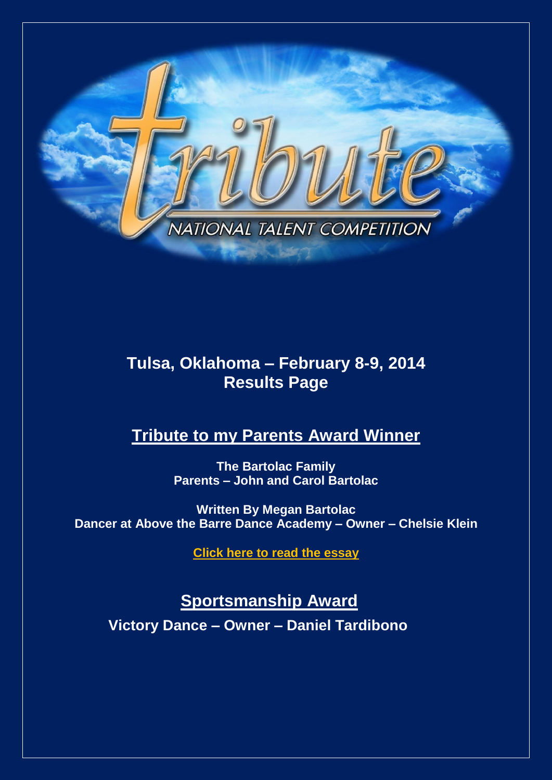

# **Tulsa, Oklahoma – February 8-9, 2014 Results Page**

# **Tribute to my Parents Award Winner**

**The Bartolac Family Parents – John and Carol Bartolac**

**Written By Megan Bartolac Dancer at Above the Barre Dance Academy – Owner – Chelsie Klein**

**[Click here to read the essay](http://www.tributetodance.com/2014/essays/tulsaessay.pdf)** 

**Sportsmanship Award**

**Victory Dance – Owner – Daniel Tardibono**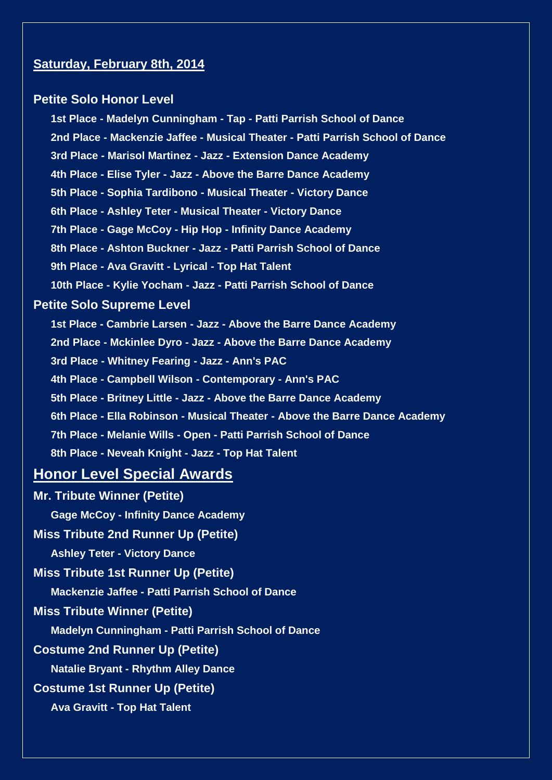### **Saturday, February 8th, 2014**

#### **Petite Solo Honor Level**

**1st Place - Madelyn Cunningham - Tap - Patti Parrish School of Dance 2nd Place - Mackenzie Jaffee - Musical Theater - Patti Parrish School of Dance 3rd Place - Marisol Martinez - Jazz - Extension Dance Academy 4th Place - Elise Tyler - Jazz - Above the Barre Dance Academy 5th Place - Sophia Tardibono - Musical Theater - Victory Dance 6th Place - Ashley Teter - Musical Theater - Victory Dance 7th Place - Gage McCoy - Hip Hop - Infinity Dance Academy 8th Place - Ashton Buckner - Jazz - Patti Parrish School of Dance 9th Place - Ava Gravitt - Lyrical - Top Hat Talent 10th Place - Kylie Yocham - Jazz - Patti Parrish School of Dance Petite Solo Supreme Level 1st Place - Cambrie Larsen - Jazz - Above the Barre Dance Academy 2nd Place - Mckinlee Dyro - Jazz - Above the Barre Dance Academy 3rd Place - Whitney Fearing - Jazz - Ann's PAC 4th Place - Campbell Wilson - Contemporary - Ann's PAC 5th Place - Britney Little - Jazz - Above the Barre Dance Academy 6th Place - Ella Robinson - Musical Theater - Above the Barre Dance Academy 7th Place - Melanie Wills - Open - Patti Parrish School of Dance 8th Place - Neveah Knight - Jazz - Top Hat Talent**

# **Honor Level Special Awards**

**Mr. Tribute Winner (Petite) Gage McCoy - Infinity Dance Academy Miss Tribute 2nd Runner Up (Petite) Ashley Teter - Victory Dance Miss Tribute 1st Runner Up (Petite) Mackenzie Jaffee - Patti Parrish School of Dance Miss Tribute Winner (Petite) Madelyn Cunningham - Patti Parrish School of Dance Costume 2nd Runner Up (Petite) Natalie Bryant - Rhythm Alley Dance Costume 1st Runner Up (Petite) Ava Gravitt - Top Hat Talent**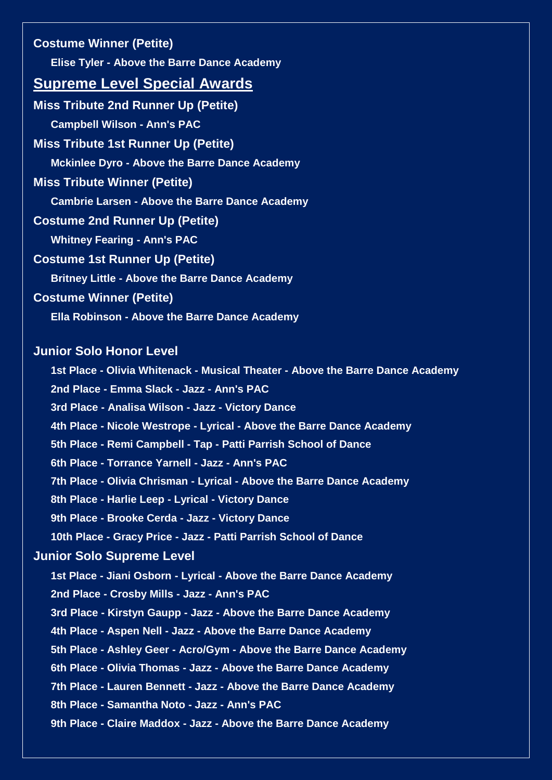**Costume Winner (Petite) Elise Tyler - Above the Barre Dance Academy Supreme Level Special Awards Miss Tribute 2nd Runner Up (Petite) Campbell Wilson - Ann's PAC Miss Tribute 1st Runner Up (Petite) Mckinlee Dyro - Above the Barre Dance Academy Miss Tribute Winner (Petite) Cambrie Larsen - Above the Barre Dance Academy Costume 2nd Runner Up (Petite) Whitney Fearing - Ann's PAC Costume 1st Runner Up (Petite) Britney Little - Above the Barre Dance Academy Costume Winner (Petite) Ella Robinson - Above the Barre Dance Academy Junior Solo Honor Level 1st Place - Olivia Whitenack - Musical Theater - Above the Barre Dance Academy 2nd Place - Emma Slack - Jazz - Ann's PAC 3rd Place - Analisa Wilson - Jazz - Victory Dance 4th Place - Nicole Westrope - Lyrical - Above the Barre Dance Academy 5th Place - Remi Campbell - Tap - Patti Parrish School of Dance 6th Place - Torrance Yarnell - Jazz - Ann's PAC 7th Place - Olivia Chrisman - Lyrical - Above the Barre Dance Academy 8th Place - Harlie Leep - Lyrical - Victory Dance 9th Place - Brooke Cerda - Jazz - Victory Dance 10th Place - Gracy Price - Jazz - Patti Parrish School of Dance Junior Solo Supreme Level 1st Place - Jiani Osborn - Lyrical - Above the Barre Dance Academy 2nd Place - Crosby Mills - Jazz - Ann's PAC 3rd Place - Kirstyn Gaupp - Jazz - Above the Barre Dance Academy 4th Place - Aspen Nell - Jazz - Above the Barre Dance Academy 5th Place - Ashley Geer - Acro/Gym - Above the Barre Dance Academy 6th Place - Olivia Thomas - Jazz - Above the Barre Dance Academy 7th Place - Lauren Bennett - Jazz - Above the Barre Dance Academy 8th Place - Samantha Noto - Jazz - Ann's PAC 9th Place - Claire Maddox - Jazz - Above the Barre Dance Academy**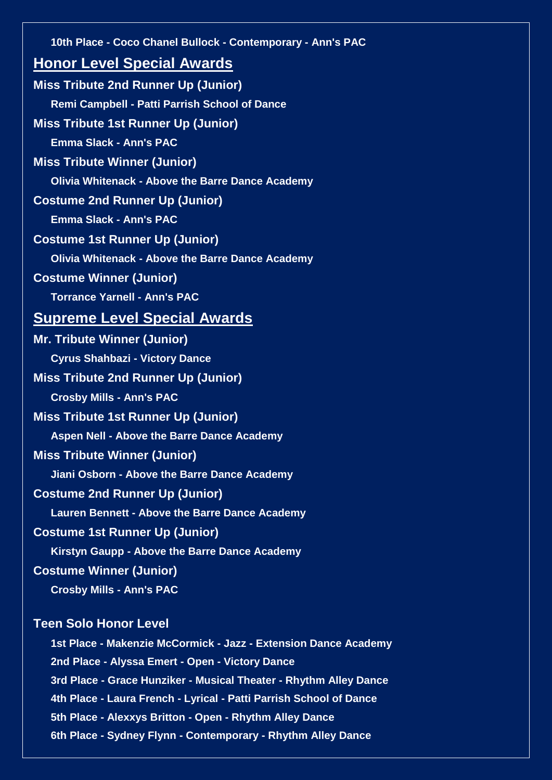| 10th Place - Coco Chanel Bullock - Contemporary - Ann's PAC        |
|--------------------------------------------------------------------|
| <b>Honor Level Special Awards</b>                                  |
| <b>Miss Tribute 2nd Runner Up (Junior)</b>                         |
| <b>Remi Campbell - Patti Parrish School of Dance</b>               |
| <b>Miss Tribute 1st Runner Up (Junior)</b>                         |
| <b>Emma Slack - Ann's PAC</b>                                      |
| <b>Miss Tribute Winner (Junior)</b>                                |
| <b>Olivia Whitenack - Above the Barre Dance Academy</b>            |
| <b>Costume 2nd Runner Up (Junior)</b>                              |
| <b>Emma Slack - Ann's PAC</b>                                      |
| <b>Costume 1st Runner Up (Junior)</b>                              |
| <b>Olivia Whitenack - Above the Barre Dance Academy</b>            |
| <b>Costume Winner (Junior)</b>                                     |
| <b>Torrance Yarnell - Ann's PAC</b>                                |
| <b>Supreme Level Special Awards</b>                                |
| <b>Mr. Tribute Winner (Junior)</b>                                 |
| <b>Cyrus Shahbazi - Victory Dance</b>                              |
| <b>Miss Tribute 2nd Runner Up (Junior)</b>                         |
| <b>Crosby Mills - Ann's PAC</b>                                    |
| <b>Miss Tribute 1st Runner Up (Junior)</b>                         |
| <b>Aspen Nell - Above the Barre Dance Academy</b>                  |
| <b>Miss Tribute Winner (Junior)</b>                                |
| Jiani Osborn - Above the Barre Dance Academy                       |
| <b>Costume 2nd Runner Up (Junior)</b>                              |
| <b>Lauren Bennett - Above the Barre Dance Academy</b>              |
| <b>Costume 1st Runner Up (Junior)</b>                              |
| Kirstyn Gaupp - Above the Barre Dance Academy                      |
| <b>Costume Winner (Junior)</b>                                     |
| <b>Crosby Mills - Ann's PAC</b>                                    |
| <b>Teen Solo Honor Level</b>                                       |
| 1st Place - Makenzie McCormick - Jazz - Extension Dance Academy    |
| 2nd Place - Alyssa Emert - Open - Victory Dance                    |
| 3rd Place - Grace Hunziker - Musical Theater - Rhythm Alley Dance  |
| 4th Place - Laura French - Lyrical - Patti Parrish School of Dance |
| 5th Place - Alexxys Britton - Open - Rhythm Alley Dance            |

**6th Place - Sydney Flynn - Contemporary - Rhythm Alley Dance**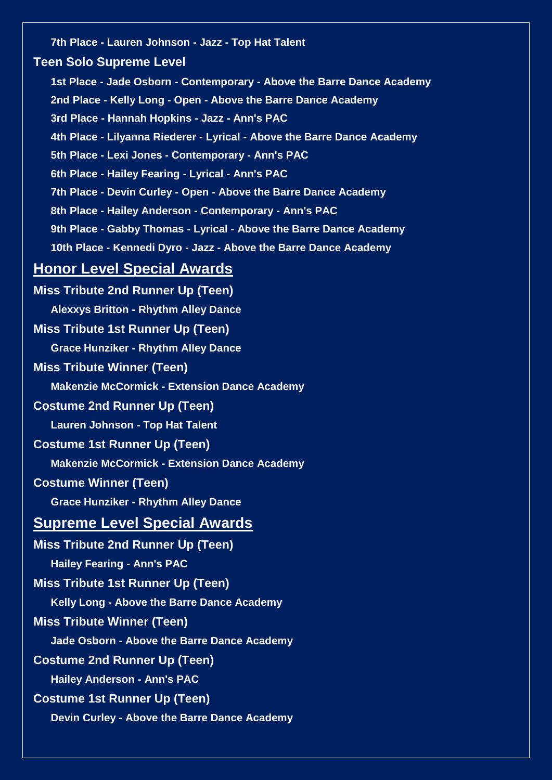**7th Place - Lauren Johnson - Jazz - Top Hat Talent Teen Solo Supreme Level 1st Place - Jade Osborn - Contemporary - Above the Barre Dance Academy 2nd Place - Kelly Long - Open - Above the Barre Dance Academy 3rd Place - Hannah Hopkins - Jazz - Ann's PAC 4th Place - Lilyanna Riederer - Lyrical - Above the Barre Dance Academy 5th Place - Lexi Jones - Contemporary - Ann's PAC 6th Place - Hailey Fearing - Lyrical - Ann's PAC 7th Place - Devin Curley - Open - Above the Barre Dance Academy 8th Place - Hailey Anderson - Contemporary - Ann's PAC 9th Place - Gabby Thomas - Lyrical - Above the Barre Dance Academy 10th Place - Kennedi Dyro - Jazz - Above the Barre Dance Academy Honor Level Special Awards Miss Tribute 2nd Runner Up (Teen) Alexxys Britton - Rhythm Alley Dance Miss Tribute 1st Runner Up (Teen) Grace Hunziker - Rhythm Alley Dance Miss Tribute Winner (Teen) Makenzie McCormick - Extension Dance Academy Costume 2nd Runner Up (Teen) Lauren Johnson - Top Hat Talent Costume 1st Runner Up (Teen) Makenzie McCormick - Extension Dance Academy Costume Winner (Teen) Grace Hunziker - Rhythm Alley Dance Supreme Level Special Awards Miss Tribute 2nd Runner Up (Teen) Hailey Fearing - Ann's PAC Miss Tribute 1st Runner Up (Teen) Kelly Long - Above the Barre Dance Academy Miss Tribute Winner (Teen) Jade Osborn - Above the Barre Dance Academy Costume 2nd Runner Up (Teen) Hailey Anderson - Ann's PAC Costume 1st Runner Up (Teen) Devin Curley - Above the Barre Dance Academy**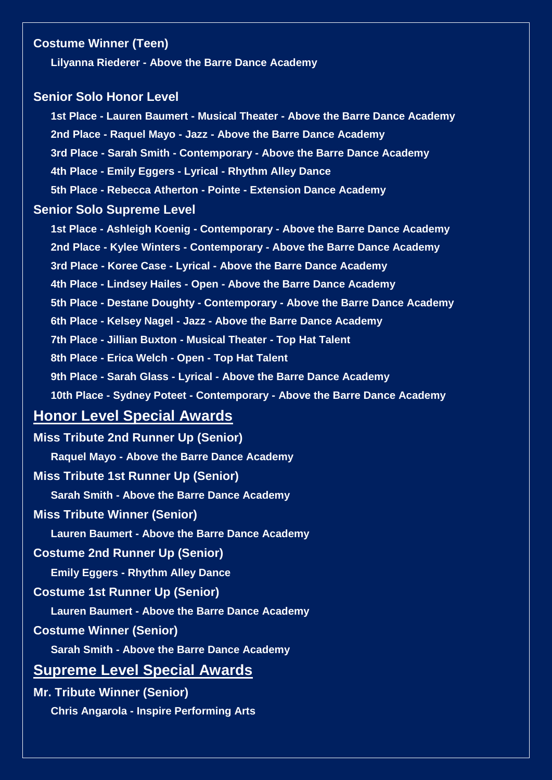# **Costume Winner (Teen)**

**Lilyanna Riederer - Above the Barre Dance Academy**

#### **Senior Solo Honor Level**

**1st Place - Lauren Baumert - Musical Theater - Above the Barre Dance Academy 2nd Place - Raquel Mayo - Jazz - Above the Barre Dance Academy 3rd Place - Sarah Smith - Contemporary - Above the Barre Dance Academy 4th Place - Emily Eggers - Lyrical - Rhythm Alley Dance 5th Place - Rebecca Atherton - Pointe - Extension Dance Academy Senior Solo Supreme Level 1st Place - Ashleigh Koenig - Contemporary - Above the Barre Dance Academy 2nd Place - Kylee Winters - Contemporary - Above the Barre Dance Academy 3rd Place - Koree Case - Lyrical - Above the Barre Dance Academy**

**4th Place - Lindsey Hailes - Open - Above the Barre Dance Academy**

**5th Place - Destane Doughty - Contemporary - Above the Barre Dance Academy**

**6th Place - Kelsey Nagel - Jazz - Above the Barre Dance Academy**

**7th Place - Jillian Buxton - Musical Theater - Top Hat Talent**

**8th Place - Erica Welch - Open - Top Hat Talent**

**9th Place - Sarah Glass - Lyrical - Above the Barre Dance Academy**

**10th Place - Sydney Poteet - Contemporary - Above the Barre Dance Academy**

# **Honor Level Special Awards**

**Miss Tribute 2nd Runner Up (Senior)**

**Raquel Mayo - Above the Barre Dance Academy**

**Miss Tribute 1st Runner Up (Senior)**

**Sarah Smith - Above the Barre Dance Academy**

### **Miss Tribute Winner (Senior)**

**Lauren Baumert - Above the Barre Dance Academy**

#### **Costume 2nd Runner Up (Senior)**

**Emily Eggers - Rhythm Alley Dance**

#### **Costume 1st Runner Up (Senior)**

**Lauren Baumert - Above the Barre Dance Academy**

### **Costume Winner (Senior)**

**Sarah Smith - Above the Barre Dance Academy**

# **Supreme Level Special Awards**

**Mr. Tribute Winner (Senior) Chris Angarola - Inspire Performing Arts**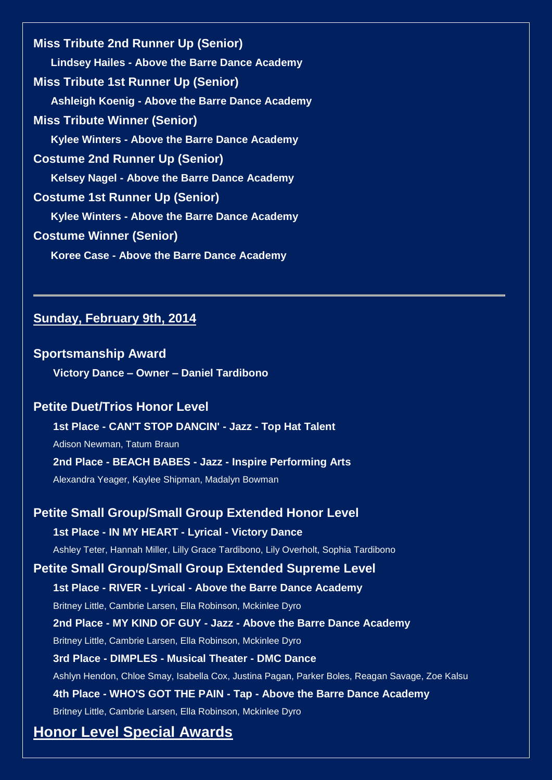**Miss Tribute 2nd Runner Up (Senior) Lindsey Hailes - Above the Barre Dance Academy Miss Tribute 1st Runner Up (Senior) Ashleigh Koenig - Above the Barre Dance Academy Miss Tribute Winner (Senior) Kylee Winters - Above the Barre Dance Academy Costume 2nd Runner Up (Senior) Kelsey Nagel - Above the Barre Dance Academy Costume 1st Runner Up (Senior) Kylee Winters - Above the Barre Dance Academy Costume Winner (Senior) Koree Case - Above the Barre Dance Academy**

# **Sunday, February 9th, 2014**

#### **Sportsmanship Award**

**Victory Dance – Owner – Daniel Tardibono**

# **Petite Duet/Trios Honor Level**

**1st Place - CAN'T STOP DANCIN' - Jazz - Top Hat Talent**

Adison Newman, Tatum Braun

**2nd Place - BEACH BABES - Jazz - Inspire Performing Arts**

Alexandra Yeager, Kaylee Shipman, Madalyn Bowman

**Petite Small Group/Small Group Extended Honor Level 1st Place - IN MY HEART - Lyrical - Victory Dance** Ashley Teter, Hannah Miller, Lilly Grace Tardibono, Lily Overholt, Sophia Tardibono **Petite Small Group/Small Group Extended Supreme Level 1st Place - RIVER - Lyrical - Above the Barre Dance Academy** Britney Little, Cambrie Larsen, Ella Robinson, Mckinlee Dyro **2nd Place - MY KIND OF GUY - Jazz - Above the Barre Dance Academy** Britney Little, Cambrie Larsen, Ella Robinson, Mckinlee Dyro **3rd Place - DIMPLES - Musical Theater - DMC Dance** Ashlyn Hendon, Chloe Smay, Isabella Cox, Justina Pagan, Parker Boles, Reagan Savage, Zoe Kalsu **4th Place - WHO'S GOT THE PAIN - Tap - Above the Barre Dance Academy** Britney Little, Cambrie Larsen, Ella Robinson, Mckinlee Dyro

# **Honor Level Special Awards**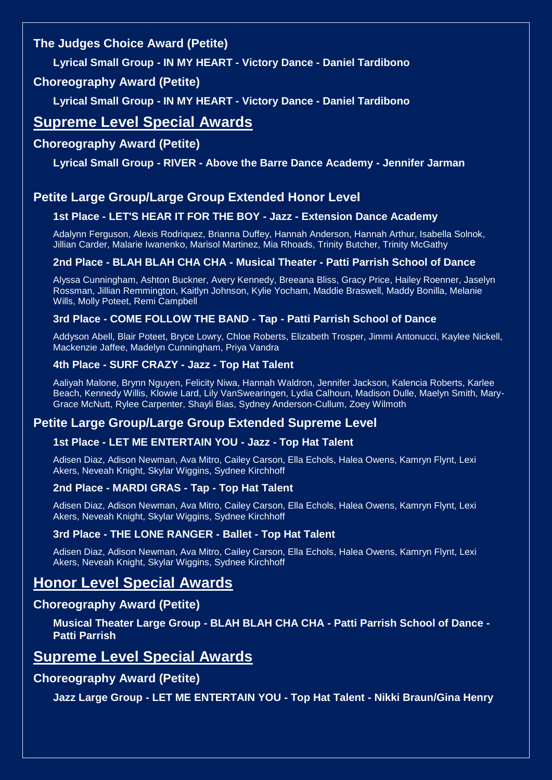# **The Judges Choice Award (Petite)**

**Lyrical Small Group - IN MY HEART - Victory Dance - Daniel Tardibono**

# **Choreography Award (Petite)**

**Lyrical Small Group - IN MY HEART - Victory Dance - Daniel Tardibono**

# **Supreme Level Special Awards**

# **Choreography Award (Petite)**

**Lyrical Small Group - RIVER - Above the Barre Dance Academy - Jennifer Jarman**

# **Petite Large Group/Large Group Extended Honor Level**

#### **1st Place - LET'S HEAR IT FOR THE BOY - Jazz - Extension Dance Academy**

Adalynn Ferguson, Alexis Rodriquez, Brianna Duffey, Hannah Anderson, Hannah Arthur, Isabella Solnok, Jillian Carder, Malarie Iwanenko, Marisol Martinez, Mia Rhoads, Trinity Butcher, Trinity McGathy

#### **2nd Place - BLAH BLAH CHA CHA - Musical Theater - Patti Parrish School of Dance**

Alyssa Cunningham, Ashton Buckner, Avery Kennedy, Breeana Bliss, Gracy Price, Hailey Roenner, Jaselyn Rossman, Jillian Remmington, Kaitlyn Johnson, Kylie Yocham, Maddie Braswell, Maddy Bonilla, Melanie Wills, Molly Poteet, Remi Campbell

#### **3rd Place - COME FOLLOW THE BAND - Tap - Patti Parrish School of Dance**

Addyson Abell, Blair Poteet, Bryce Lowry, Chloe Roberts, Elizabeth Trosper, Jimmi Antonucci, Kaylee Nickell, Mackenzie Jaffee, Madelyn Cunningham, Priya Vandra

#### **4th Place - SURF CRAZY - Jazz - Top Hat Talent**

Aaliyah Malone, Brynn Nguyen, Felicity Niwa, Hannah Waldron, Jennifer Jackson, Kalencia Roberts, Karlee Beach, Kennedy Willis, Klowie Lard, Lily VanSwearingen, Lydia Calhoun, Madison Dulle, Maelyn Smith, Mary-Grace McNutt, Rylee Carpenter, Shayli Bias, Sydney Anderson-Cullum, Zoey Wilmoth

# **Petite Large Group/Large Group Extended Supreme Level**

#### **1st Place - LET ME ENTERTAIN YOU - Jazz - Top Hat Talent**

Adisen Diaz, Adison Newman, Ava Mitro, Cailey Carson, Ella Echols, Halea Owens, Kamryn Flynt, Lexi Akers, Neveah Knight, Skylar Wiggins, Sydnee Kirchhoff

#### **2nd Place - MARDI GRAS - Tap - Top Hat Talent**

Adisen Diaz, Adison Newman, Ava Mitro, Cailey Carson, Ella Echols, Halea Owens, Kamryn Flynt, Lexi Akers, Neveah Knight, Skylar Wiggins, Sydnee Kirchhoff

#### **3rd Place - THE LONE RANGER - Ballet - Top Hat Talent**

Adisen Diaz, Adison Newman, Ava Mitro, Cailey Carson, Ella Echols, Halea Owens, Kamryn Flynt, Lexi Akers, Neveah Knight, Skylar Wiggins, Sydnee Kirchhoff

# **Honor Level Special Awards**

# **Choreography Award (Petite)**

**Musical Theater Large Group - BLAH BLAH CHA CHA - Patti Parrish School of Dance - Patti Parrish**

# **Supreme Level Special Awards**

# **Choreography Award (Petite)**

**Jazz Large Group - LET ME ENTERTAIN YOU - Top Hat Talent - Nikki Braun/Gina Henry**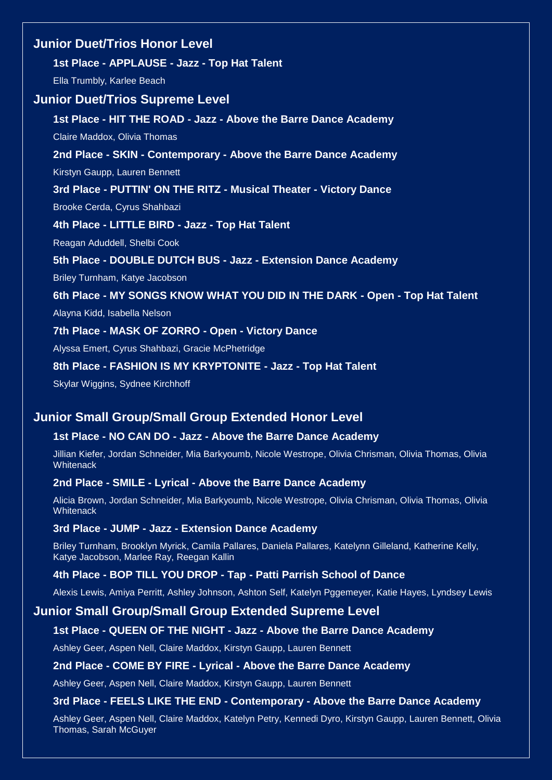# **Junior Duet/Trios Honor Level**

#### **1st Place - APPLAUSE - Jazz - Top Hat Talent**

Ella Trumbly, Karlee Beach

#### **Junior Duet/Trios Supreme Level**

**1st Place - HIT THE ROAD - Jazz - Above the Barre Dance Academy**

Claire Maddox, Olivia Thomas

# **2nd Place - SKIN - Contemporary - Above the Barre Dance Academy**

Kirstyn Gaupp, Lauren Bennett

#### **3rd Place - PUTTIN' ON THE RITZ - Musical Theater - Victory Dance**

Brooke Cerda, Cyrus Shahbazi

#### **4th Place - LITTLE BIRD - Jazz - Top Hat Talent**

Reagan Aduddell, Shelbi Cook

#### **5th Place - DOUBLE DUTCH BUS - Jazz - Extension Dance Academy**

Briley Turnham, Katye Jacobson

#### **6th Place - MY SONGS KNOW WHAT YOU DID IN THE DARK - Open - Top Hat Talent**

Alayna Kidd, Isabella Nelson

#### **7th Place - MASK OF ZORRO - Open - Victory Dance**

Alyssa Emert, Cyrus Shahbazi, Gracie McPhetridge

#### **8th Place - FASHION IS MY KRYPTONITE - Jazz - Top Hat Talent**

Skylar Wiggins, Sydnee Kirchhoff

# **Junior Small Group/Small Group Extended Honor Level**

#### **1st Place - NO CAN DO - Jazz - Above the Barre Dance Academy**

Jillian Kiefer, Jordan Schneider, Mia Barkyoumb, Nicole Westrope, Olivia Chrisman, Olivia Thomas, Olivia **Whitenack** 

#### **2nd Place - SMILE - Lyrical - Above the Barre Dance Academy**

Alicia Brown, Jordan Schneider, Mia Barkyoumb, Nicole Westrope, Olivia Chrisman, Olivia Thomas, Olivia **Whitenack** 

#### **3rd Place - JUMP - Jazz - Extension Dance Academy**

Briley Turnham, Brooklyn Myrick, Camila Pallares, Daniela Pallares, Katelynn Gilleland, Katherine Kelly, Katye Jacobson, Marlee Ray, Reegan Kallin

#### **4th Place - BOP TILL YOU DROP - Tap - Patti Parrish School of Dance**

Alexis Lewis, Amiya Perritt, Ashley Johnson, Ashton Self, Katelyn Pggemeyer, Katie Hayes, Lyndsey Lewis

# **Junior Small Group/Small Group Extended Supreme Level**

#### **1st Place - QUEEN OF THE NIGHT - Jazz - Above the Barre Dance Academy**

Ashley Geer, Aspen Nell, Claire Maddox, Kirstyn Gaupp, Lauren Bennett

#### **2nd Place - COME BY FIRE - Lyrical - Above the Barre Dance Academy**

Ashley Geer, Aspen Nell, Claire Maddox, Kirstyn Gaupp, Lauren Bennett

#### **3rd Place - FEELS LIKE THE END - Contemporary - Above the Barre Dance Academy**

Ashley Geer, Aspen Nell, Claire Maddox, Katelyn Petry, Kennedi Dyro, Kirstyn Gaupp, Lauren Bennett, Olivia Thomas, Sarah McGuyer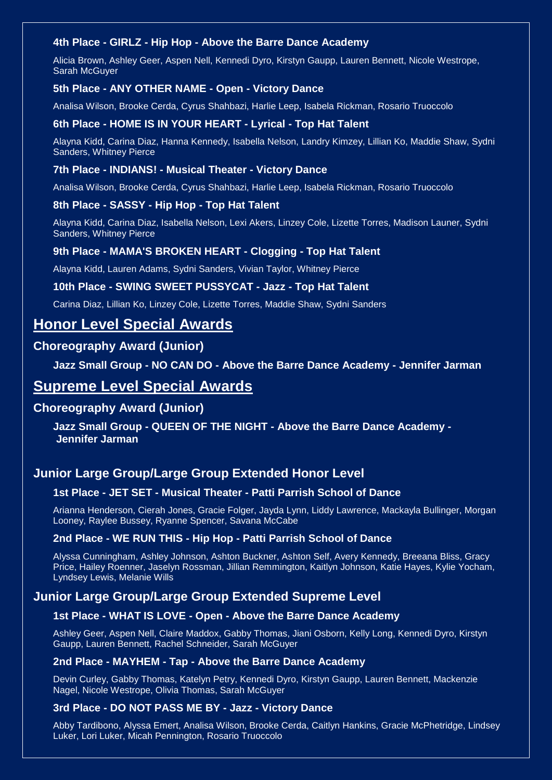#### **4th Place - GIRLZ - Hip Hop - Above the Barre Dance Academy**

Alicia Brown, Ashley Geer, Aspen Nell, Kennedi Dyro, Kirstyn Gaupp, Lauren Bennett, Nicole Westrope, Sarah McGuyer

#### **5th Place - ANY OTHER NAME - Open - Victory Dance**

Analisa Wilson, Brooke Cerda, Cyrus Shahbazi, Harlie Leep, Isabela Rickman, Rosario Truoccolo

#### **6th Place - HOME IS IN YOUR HEART - Lyrical - Top Hat Talent**

Alayna Kidd, Carina Diaz, Hanna Kennedy, Isabella Nelson, Landry Kimzey, Lillian Ko, Maddie Shaw, Sydni Sanders, Whitney Pierce

#### **7th Place - INDIANS! - Musical Theater - Victory Dance**

Analisa Wilson, Brooke Cerda, Cyrus Shahbazi, Harlie Leep, Isabela Rickman, Rosario Truoccolo

#### **8th Place - SASSY - Hip Hop - Top Hat Talent**

Alayna Kidd, Carina Diaz, Isabella Nelson, Lexi Akers, Linzey Cole, Lizette Torres, Madison Launer, Sydni Sanders, Whitney Pierce

#### **9th Place - MAMA'S BROKEN HEART - Clogging - Top Hat Talent**

Alayna Kidd, Lauren Adams, Sydni Sanders, Vivian Taylor, Whitney Pierce

#### **10th Place - SWING SWEET PUSSYCAT - Jazz - Top Hat Talent**

Carina Diaz, Lillian Ko, Linzey Cole, Lizette Torres, Maddie Shaw, Sydni Sanders

# **Honor Level Special Awards**

# **Choreography Award (Junior)**

**Jazz Small Group - NO CAN DO - Above the Barre Dance Academy - Jennifer Jarman**

# **Supreme Level Special Awards**

#### **Choreography Award (Junior)**

**Jazz Small Group - QUEEN OF THE NIGHT - Above the Barre Dance Academy - Jennifer Jarman**

# **Junior Large Group/Large Group Extended Honor Level**

#### **1st Place - JET SET - Musical Theater - Patti Parrish School of Dance**

Arianna Henderson, Cierah Jones, Gracie Folger, Jayda Lynn, Liddy Lawrence, Mackayla Bullinger, Morgan Looney, Raylee Bussey, Ryanne Spencer, Savana McCabe

#### **2nd Place - WE RUN THIS - Hip Hop - Patti Parrish School of Dance**

Alyssa Cunningham, Ashley Johnson, Ashton Buckner, Ashton Self, Avery Kennedy, Breeana Bliss, Gracy Price, Hailey Roenner, Jaselyn Rossman, Jillian Remmington, Kaitlyn Johnson, Katie Hayes, Kylie Yocham, Lyndsey Lewis, Melanie Wills

# **Junior Large Group/Large Group Extended Supreme Level**

### **1st Place - WHAT IS LOVE - Open - Above the Barre Dance Academy**

Ashley Geer, Aspen Nell, Claire Maddox, Gabby Thomas, Jiani Osborn, Kelly Long, Kennedi Dyro, Kirstyn Gaupp, Lauren Bennett, Rachel Schneider, Sarah McGuyer

#### **2nd Place - MAYHEM - Tap - Above the Barre Dance Academy**

Devin Curley, Gabby Thomas, Katelyn Petry, Kennedi Dyro, Kirstyn Gaupp, Lauren Bennett, Mackenzie Nagel, Nicole Westrope, Olivia Thomas, Sarah McGuyer

#### **3rd Place - DO NOT PASS ME BY - Jazz - Victory Dance**

Abby Tardibono, Alyssa Emert, Analisa Wilson, Brooke Cerda, Caitlyn Hankins, Gracie McPhetridge, Lindsey Luker, Lori Luker, Micah Pennington, Rosario Truoccolo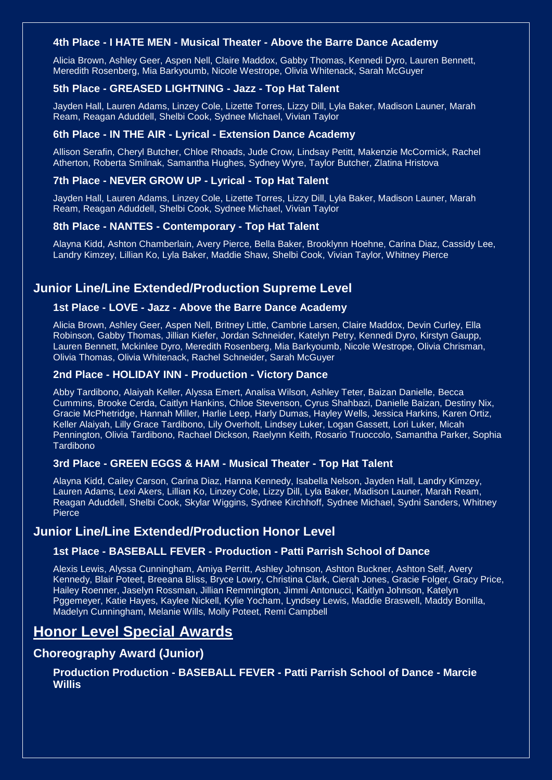#### **4th Place - I HATE MEN - Musical Theater - Above the Barre Dance Academy**

Alicia Brown, Ashley Geer, Aspen Nell, Claire Maddox, Gabby Thomas, Kennedi Dyro, Lauren Bennett, Meredith Rosenberg, Mia Barkyoumb, Nicole Westrope, Olivia Whitenack, Sarah McGuyer

#### **5th Place - GREASED LIGHTNING - Jazz - Top Hat Talent**

Jayden Hall, Lauren Adams, Linzey Cole, Lizette Torres, Lizzy Dill, Lyla Baker, Madison Launer, Marah Ream, Reagan Aduddell, Shelbi Cook, Sydnee Michael, Vivian Taylor

#### **6th Place - IN THE AIR - Lyrical - Extension Dance Academy**

Allison Serafin, Cheryl Butcher, Chloe Rhoads, Jude Crow, Lindsay Petitt, Makenzie McCormick, Rachel Atherton, Roberta Smilnak, Samantha Hughes, Sydney Wyre, Taylor Butcher, Zlatina Hristova

#### **7th Place - NEVER GROW UP - Lyrical - Top Hat Talent**

Jayden Hall, Lauren Adams, Linzey Cole, Lizette Torres, Lizzy Dill, Lyla Baker, Madison Launer, Marah Ream, Reagan Aduddell, Shelbi Cook, Sydnee Michael, Vivian Taylor

#### **8th Place - NANTES - Contemporary - Top Hat Talent**

Alayna Kidd, Ashton Chamberlain, Avery Pierce, Bella Baker, Brooklynn Hoehne, Carina Diaz, Cassidy Lee, Landry Kimzey, Lillian Ko, Lyla Baker, Maddie Shaw, Shelbi Cook, Vivian Taylor, Whitney Pierce

# **Junior Line/Line Extended/Production Supreme Level**

#### **1st Place - LOVE - Jazz - Above the Barre Dance Academy**

Alicia Brown, Ashley Geer, Aspen Nell, Britney Little, Cambrie Larsen, Claire Maddox, Devin Curley, Ella Robinson, Gabby Thomas, Jillian Kiefer, Jordan Schneider, Katelyn Petry, Kennedi Dyro, Kirstyn Gaupp, Lauren Bennett, Mckinlee Dyro, Meredith Rosenberg, Mia Barkyoumb, Nicole Westrope, Olivia Chrisman, Olivia Thomas, Olivia Whitenack, Rachel Schneider, Sarah McGuyer

#### **2nd Place - HOLIDAY INN - Production - Victory Dance**

Abby Tardibono, Alaiyah Keller, Alyssa Emert, Analisa Wilson, Ashley Teter, Baizan Danielle, Becca Cummins, Brooke Cerda, Caitlyn Hankins, Chloe Stevenson, Cyrus Shahbazi, Danielle Baizan, Destiny Nix, Gracie McPhetridge, Hannah Miller, Harlie Leep, Harly Dumas, Hayley Wells, Jessica Harkins, Karen Ortiz, Keller Alaiyah, Lilly Grace Tardibono, Lily Overholt, Lindsey Luker, Logan Gassett, Lori Luker, Micah Pennington, Olivia Tardibono, Rachael Dickson, Raelynn Keith, Rosario Truoccolo, Samantha Parker, Sophia Tardibono

#### **3rd Place - GREEN EGGS & HAM - Musical Theater - Top Hat Talent**

Alayna Kidd, Cailey Carson, Carina Diaz, Hanna Kennedy, Isabella Nelson, Jayden Hall, Landry Kimzey, Lauren Adams, Lexi Akers, Lillian Ko, Linzey Cole, Lizzy Dill, Lyla Baker, Madison Launer, Marah Ream, Reagan Aduddell, Shelbi Cook, Skylar Wiggins, Sydnee Kirchhoff, Sydnee Michael, Sydni Sanders, Whitney **Pierce** 

# **Junior Line/Line Extended/Production Honor Level**

#### **1st Place - BASEBALL FEVER - Production - Patti Parrish School of Dance**

Alexis Lewis, Alyssa Cunningham, Amiya Perritt, Ashley Johnson, Ashton Buckner, Ashton Self, Avery Kennedy, Blair Poteet, Breeana Bliss, Bryce Lowry, Christina Clark, Cierah Jones, Gracie Folger, Gracy Price, Hailey Roenner, Jaselyn Rossman, Jillian Remmington, Jimmi Antonucci, Kaitlyn Johnson, Katelyn Pggemeyer, Katie Hayes, Kaylee Nickell, Kylie Yocham, Lyndsey Lewis, Maddie Braswell, Maddy Bonilla, Madelyn Cunningham, Melanie Wills, Molly Poteet, Remi Campbell

# **Honor Level Special Awards**

# **Choreography Award (Junior)**

**Production Production - BASEBALL FEVER - Patti Parrish School of Dance - Marcie Willis**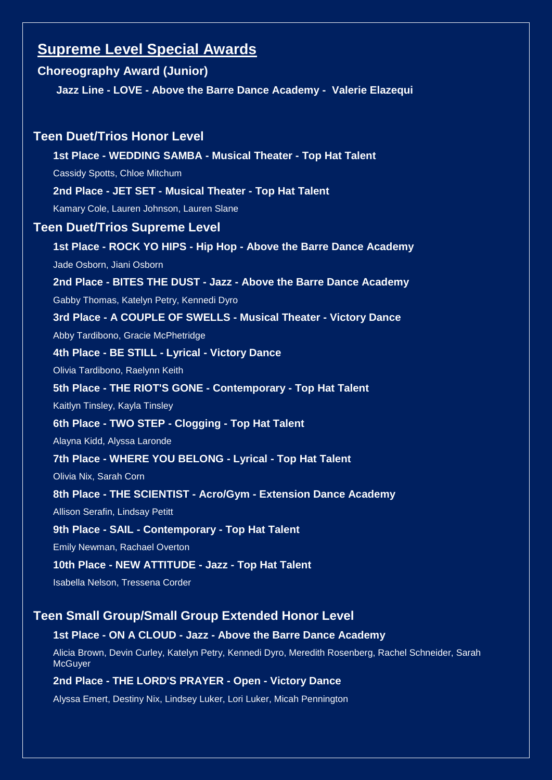# **Supreme Level Special Awards**

# **Choreography Award (Junior)**

**Jazz Line - LOVE - Above the Barre Dance Academy - Valerie Elazequi**

# **Teen Duet/Trios Honor Level**

**1st Place - WEDDING SAMBA - Musical Theater - Top Hat Talent** Cassidy Spotts, Chloe Mitchum **2nd Place - JET SET - Musical Theater - Top Hat Talent**

Kamary Cole, Lauren Johnson, Lauren Slane

#### **Teen Duet/Trios Supreme Level**

**1st Place - ROCK YO HIPS - Hip Hop - Above the Barre Dance Academy** Jade Osborn, Jiani Osborn

**2nd Place - BITES THE DUST - Jazz - Above the Barre Dance Academy**

Gabby Thomas, Katelyn Petry, Kennedi Dyro

**3rd Place - A COUPLE OF SWELLS - Musical Theater - Victory Dance**

Abby Tardibono, Gracie McPhetridge

#### **4th Place - BE STILL - Lyrical - Victory Dance**

Olivia Tardibono, Raelynn Keith

#### **5th Place - THE RIOT'S GONE - Contemporary - Top Hat Talent**

Kaitlyn Tinsley, Kayla Tinsley

# **6th Place - TWO STEP - Clogging - Top Hat Talent**

Alayna Kidd, Alyssa Laronde

#### **7th Place - WHERE YOU BELONG - Lyrical - Top Hat Talent**

Olivia Nix, Sarah Corn

#### **8th Place - THE SCIENTIST - Acro/Gym - Extension Dance Academy**

Allison Serafin, Lindsay Petitt

#### **9th Place - SAIL - Contemporary - Top Hat Talent**

Emily Newman, Rachael Overton

#### **10th Place - NEW ATTITUDE - Jazz - Top Hat Talent**

Isabella Nelson, Tressena Corder

# **Teen Small Group/Small Group Extended Honor Level**

#### **1st Place - ON A CLOUD - Jazz - Above the Barre Dance Academy**

Alicia Brown, Devin Curley, Katelyn Petry, Kennedi Dyro, Meredith Rosenberg, Rachel Schneider, Sarah **McGuyer** 

#### **2nd Place - THE LORD'S PRAYER - Open - Victory Dance**

Alyssa Emert, Destiny Nix, Lindsey Luker, Lori Luker, Micah Pennington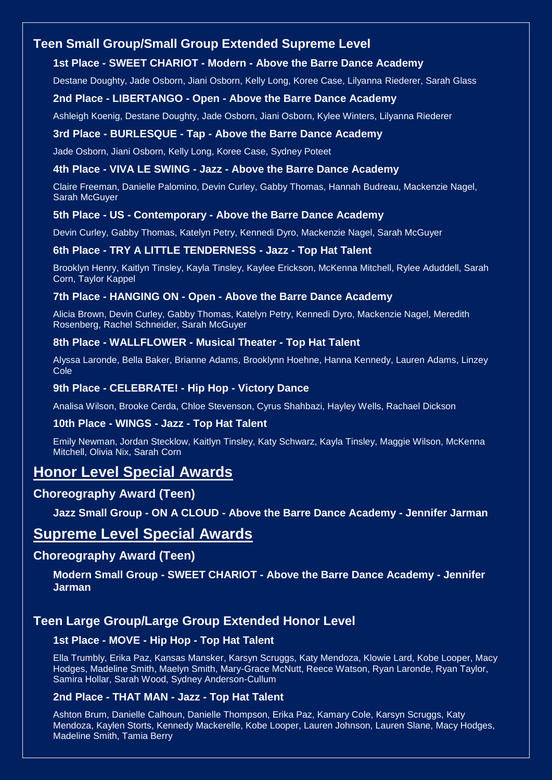# **Teen Small Group/Small Group Extended Supreme Level**

#### **1st Place - SWEET CHARIOT - Modern - Above the Barre Dance Academy**

Destane Doughty, Jade Osborn, Jiani Osborn, Kelly Long, Koree Case, Lilyanna Riederer, Sarah Glass

#### **2nd Place - LIBERTANGO - Open - Above the Barre Dance Academy**

Ashleigh Koenig, Destane Doughty, Jade Osborn, Jiani Osborn, Kylee Winters, Lilyanna Riederer

#### **3rd Place - BURLESQUE - Tap - Above the Barre Dance Academy**

Jade Osborn, Jiani Osborn, Kelly Long, Koree Case, Sydney Poteet

#### **4th Place - VIVA LE SWING - Jazz - Above the Barre Dance Academy**

Claire Freeman, Danielle Palomino, Devin Curley, Gabby Thomas, Hannah Budreau, Mackenzie Nagel, Sarah McGuyer

#### **5th Place - US - Contemporary - Above the Barre Dance Academy**

Devin Curley, Gabby Thomas, Katelyn Petry, Kennedi Dyro, Mackenzie Nagel, Sarah McGuyer

#### **6th Place - TRY A LITTLE TENDERNESS - Jazz - Top Hat Talent**

Brooklyn Henry, Kaitlyn Tinsley, Kayla Tinsley, Kaylee Erickson, McKenna Mitchell, Rylee Aduddell, Sarah Corn, Taylor Kappel

#### **7th Place - HANGING ON - Open - Above the Barre Dance Academy**

Alicia Brown, Devin Curley, Gabby Thomas, Katelyn Petry, Kennedi Dyro, Mackenzie Nagel, Meredith Rosenberg, Rachel Schneider, Sarah McGuyer

#### **8th Place - WALLFLOWER - Musical Theater - Top Hat Talent**

Alyssa Laronde, Bella Baker, Brianne Adams, Brooklynn Hoehne, Hanna Kennedy, Lauren Adams, Linzey Cole

#### **9th Place - CELEBRATE! - Hip Hop - Victory Dance**

Analisa Wilson, Brooke Cerda, Chloe Stevenson, Cyrus Shahbazi, Hayley Wells, Rachael Dickson

#### **10th Place - WINGS - Jazz - Top Hat Talent**

Emily Newman, Jordan Stecklow, Kaitlyn Tinsley, Katy Schwarz, Kayla Tinsley, Maggie Wilson, McKenna Mitchell, Olivia Nix, Sarah Corn

# **Honor Level Special Awards**

#### **Choreography Award (Teen)**

**Jazz Small Group - ON A CLOUD - Above the Barre Dance Academy - Jennifer Jarman**

# **Supreme Level Special Awards**

#### **Choreography Award (Teen)**

**Modern Small Group - SWEET CHARIOT - Above the Barre Dance Academy - Jennifer Jarman**

# **Teen Large Group/Large Group Extended Honor Level**

#### **1st Place - MOVE - Hip Hop - Top Hat Talent**

Ella Trumbly, Erika Paz, Kansas Mansker, Karsyn Scruggs, Katy Mendoza, Klowie Lard, Kobe Looper, Macy Hodges, Madeline Smith, Maelyn Smith, Mary-Grace McNutt, Reece Watson, Ryan Laronde, Ryan Taylor, Samira Hollar, Sarah Wood, Sydney Anderson-Cullum

#### **2nd Place - THAT MAN - Jazz - Top Hat Talent**

Ashton Brum, Danielle Calhoun, Danielle Thompson, Erika Paz, Kamary Cole, Karsyn Scruggs, Katy Mendoza, Kaylen Storts, Kennedy Mackerelle, Kobe Looper, Lauren Johnson, Lauren Slane, Macy Hodges, Madeline Smith, Tamia Berry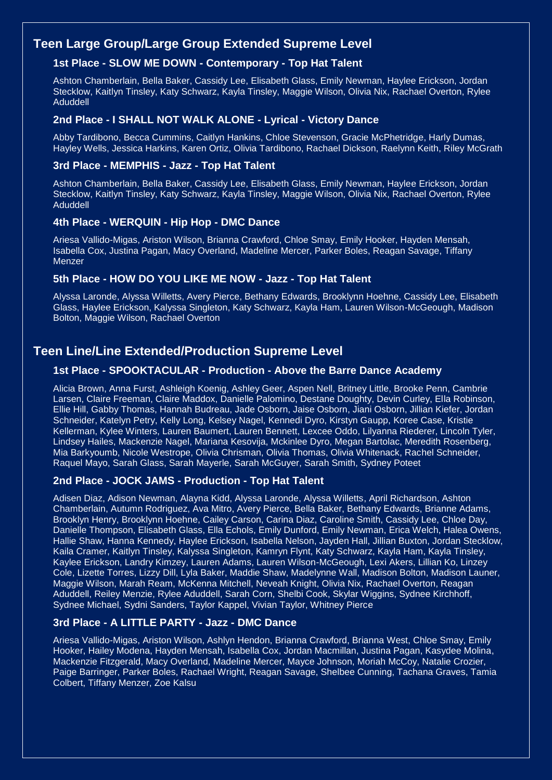# **Teen Large Group/Large Group Extended Supreme Level**

#### **1st Place - SLOW ME DOWN - Contemporary - Top Hat Talent**

Ashton Chamberlain, Bella Baker, Cassidy Lee, Elisabeth Glass, Emily Newman, Haylee Erickson, Jordan Stecklow, Kaitlyn Tinsley, Katy Schwarz, Kayla Tinsley, Maggie Wilson, Olivia Nix, Rachael Overton, Rylee Aduddell

#### **2nd Place - I SHALL NOT WALK ALONE - Lyrical - Victory Dance**

Abby Tardibono, Becca Cummins, Caitlyn Hankins, Chloe Stevenson, Gracie McPhetridge, Harly Dumas, Hayley Wells, Jessica Harkins, Karen Ortiz, Olivia Tardibono, Rachael Dickson, Raelynn Keith, Riley McGrath

#### **3rd Place - MEMPHIS - Jazz - Top Hat Talent**

Ashton Chamberlain, Bella Baker, Cassidy Lee, Elisabeth Glass, Emily Newman, Haylee Erickson, Jordan Stecklow, Kaitlyn Tinsley, Katy Schwarz, Kayla Tinsley, Maggie Wilson, Olivia Nix, Rachael Overton, Rylee Aduddell

#### **4th Place - WERQUIN - Hip Hop - DMC Dance**

Ariesa Vallido-Migas, Ariston Wilson, Brianna Crawford, Chloe Smay, Emily Hooker, Hayden Mensah, Isabella Cox, Justina Pagan, Macy Overland, Madeline Mercer, Parker Boles, Reagan Savage, Tiffany **Menzer** 

#### **5th Place - HOW DO YOU LIKE ME NOW - Jazz - Top Hat Talent**

Alyssa Laronde, Alyssa Willetts, Avery Pierce, Bethany Edwards, Brooklynn Hoehne, Cassidy Lee, Elisabeth Glass, Haylee Erickson, Kalyssa Singleton, Katy Schwarz, Kayla Ham, Lauren Wilson-McGeough, Madison Bolton, Maggie Wilson, Rachael Overton

# **Teen Line/Line Extended/Production Supreme Level**

#### **1st Place - SPOOKTACULAR - Production - Above the Barre Dance Academy**

Alicia Brown, Anna Furst, Ashleigh Koenig, Ashley Geer, Aspen Nell, Britney Little, Brooke Penn, Cambrie Larsen, Claire Freeman, Claire Maddox, Danielle Palomino, Destane Doughty, Devin Curley, Ella Robinson, Ellie Hill, Gabby Thomas, Hannah Budreau, Jade Osborn, Jaise Osborn, Jiani Osborn, Jillian Kiefer, Jordan Schneider, Katelyn Petry, Kelly Long, Kelsey Nagel, Kennedi Dyro, Kirstyn Gaupp, Koree Case, Kristie Kellerman, Kylee Winters, Lauren Baumert, Lauren Bennett, Lexcee Oddo, Lilyanna Riederer, Lincoln Tyler, Lindsey Hailes, Mackenzie Nagel, Mariana Kesovija, Mckinlee Dyro, Megan Bartolac, Meredith Rosenberg, Mia Barkyoumb, Nicole Westrope, Olivia Chrisman, Olivia Thomas, Olivia Whitenack, Rachel Schneider, Raquel Mayo, Sarah Glass, Sarah Mayerle, Sarah McGuyer, Sarah Smith, Sydney Poteet

#### **2nd Place - JOCK JAMS - Production - Top Hat Talent**

Adisen Diaz, Adison Newman, Alayna Kidd, Alyssa Laronde, Alyssa Willetts, April Richardson, Ashton Chamberlain, Autumn Rodriguez, Ava Mitro, Avery Pierce, Bella Baker, Bethany Edwards, Brianne Adams, Brooklyn Henry, Brooklynn Hoehne, Cailey Carson, Carina Diaz, Caroline Smith, Cassidy Lee, Chloe Day, Danielle Thompson, Elisabeth Glass, Ella Echols, Emily Dunford, Emily Newman, Erica Welch, Halea Owens, Hallie Shaw, Hanna Kennedy, Haylee Erickson, Isabella Nelson, Jayden Hall, Jillian Buxton, Jordan Stecklow, Kaila Cramer, Kaitlyn Tinsley, Kalyssa Singleton, Kamryn Flynt, Katy Schwarz, Kayla Ham, Kayla Tinsley, Kaylee Erickson, Landry Kimzey, Lauren Adams, Lauren Wilson-McGeough, Lexi Akers, Lillian Ko, Linzey Cole, Lizette Torres, Lizzy Dill, Lyla Baker, Maddie Shaw, Madelynne Wall, Madison Bolton, Madison Launer, Maggie Wilson, Marah Ream, McKenna Mitchell, Neveah Knight, Olivia Nix, Rachael Overton, Reagan Aduddell, Reiley Menzie, Rylee Aduddell, Sarah Corn, Shelbi Cook, Skylar Wiggins, Sydnee Kirchhoff, Sydnee Michael, Sydni Sanders, Taylor Kappel, Vivian Taylor, Whitney Pierce

#### **3rd Place - A LITTLE PARTY - Jazz - DMC Dance**

Ariesa Vallido-Migas, Ariston Wilson, Ashlyn Hendon, Brianna Crawford, Brianna West, Chloe Smay, Emily Hooker, Hailey Modena, Hayden Mensah, Isabella Cox, Jordan Macmillan, Justina Pagan, Kasydee Molina, Mackenzie Fitzgerald, Macy Overland, Madeline Mercer, Mayce Johnson, Moriah McCoy, Natalie Crozier, Paige Barringer, Parker Boles, Rachael Wright, Reagan Savage, Shelbee Cunning, Tachana Graves, Tamia Colbert, Tiffany Menzer, Zoe Kalsu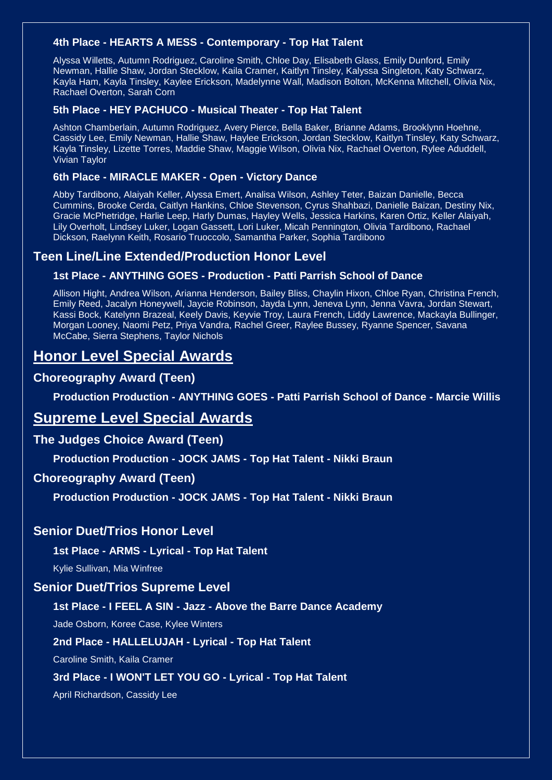### **4th Place - HEARTS A MESS - Contemporary - Top Hat Talent**

Alyssa Willetts, Autumn Rodriguez, Caroline Smith, Chloe Day, Elisabeth Glass, Emily Dunford, Emily Newman, Hallie Shaw, Jordan Stecklow, Kaila Cramer, Kaitlyn Tinsley, Kalyssa Singleton, Katy Schwarz, Kayla Ham, Kayla Tinsley, Kaylee Erickson, Madelynne Wall, Madison Bolton, McKenna Mitchell, Olivia Nix, Rachael Overton, Sarah Corn

#### **5th Place - HEY PACHUCO - Musical Theater - Top Hat Talent**

Ashton Chamberlain, Autumn Rodriguez, Avery Pierce, Bella Baker, Brianne Adams, Brooklynn Hoehne, Cassidy Lee, Emily Newman, Hallie Shaw, Haylee Erickson, Jordan Stecklow, Kaitlyn Tinsley, Katy Schwarz, Kayla Tinsley, Lizette Torres, Maddie Shaw, Maggie Wilson, Olivia Nix, Rachael Overton, Rylee Aduddell, Vivian Taylor

#### **6th Place - MIRACLE MAKER - Open - Victory Dance**

Abby Tardibono, Alaiyah Keller, Alyssa Emert, Analisa Wilson, Ashley Teter, Baizan Danielle, Becca Cummins, Brooke Cerda, Caitlyn Hankins, Chloe Stevenson, Cyrus Shahbazi, Danielle Baizan, Destiny Nix, Gracie McPhetridge, Harlie Leep, Harly Dumas, Hayley Wells, Jessica Harkins, Karen Ortiz, Keller Alaiyah, Lily Overholt, Lindsey Luker, Logan Gassett, Lori Luker, Micah Pennington, Olivia Tardibono, Rachael Dickson, Raelynn Keith, Rosario Truoccolo, Samantha Parker, Sophia Tardibono

### **Teen Line/Line Extended/Production Honor Level**

#### **1st Place - ANYTHING GOES - Production - Patti Parrish School of Dance**

Allison Hight, Andrea Wilson, Arianna Henderson, Bailey Bliss, Chaylin Hixon, Chloe Ryan, Christina French, Emily Reed, Jacalyn Honeywell, Jaycie Robinson, Jayda Lynn, Jeneva Lynn, Jenna Vavra, Jordan Stewart, Kassi Bock, Katelynn Brazeal, Keely Davis, Keyvie Troy, Laura French, Liddy Lawrence, Mackayla Bullinger, Morgan Looney, Naomi Petz, Priya Vandra, Rachel Greer, Raylee Bussey, Ryanne Spencer, Savana McCabe, Sierra Stephens, Taylor Nichols

# **Honor Level Special Awards**

#### **Choreography Award (Teen)**

**Production Production - ANYTHING GOES - Patti Parrish School of Dance - Marcie Willis**

# **Supreme Level Special Awards**

#### **The Judges Choice Award (Teen)**

**Production Production - JOCK JAMS - Top Hat Talent - Nikki Braun**

#### **Choreography Award (Teen)**

**Production Production - JOCK JAMS - Top Hat Talent - Nikki Braun**

#### **Senior Duet/Trios Honor Level**

#### **1st Place - ARMS - Lyrical - Top Hat Talent**

Kylie Sullivan, Mia Winfree

#### **Senior Duet/Trios Supreme Level**

#### **1st Place - I FEEL A SIN - Jazz - Above the Barre Dance Academy**

Jade Osborn, Koree Case, Kylee Winters

**2nd Place - HALLELUJAH - Lyrical - Top Hat Talent**

Caroline Smith, Kaila Cramer

#### **3rd Place - I WON'T LET YOU GO - Lyrical - Top Hat Talent**

April Richardson, Cassidy Lee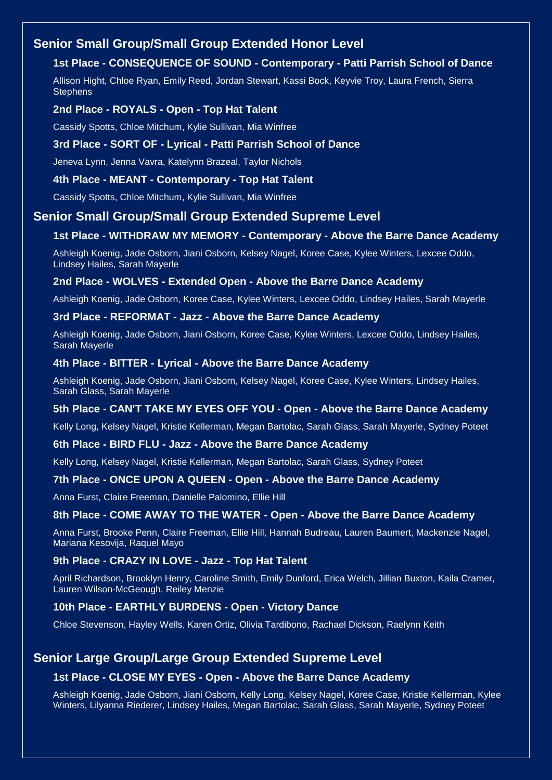# **Senior Small Group/Small Group Extended Honor Level**

# **1st Place - CONSEQUENCE OF SOUND - Contemporary - Patti Parrish School of Dance**

Allison Hight, Chloe Ryan, Emily Reed, Jordan Stewart, Kassi Bock, Keyvie Troy, Laura French, Sierra **Stephens** 

#### **2nd Place - ROYALS - Open - Top Hat Talent**

Cassidy Spotts, Chloe Mitchum, Kylie Sullivan, Mia Winfree

#### **3rd Place - SORT OF - Lyrical - Patti Parrish School of Dance**

Jeneva Lynn, Jenna Vavra, Katelynn Brazeal, Taylor Nichols

#### **4th Place - MEANT - Contemporary - Top Hat Talent**

Cassidy Spotts, Chloe Mitchum, Kylie Sullivan, Mia Winfree

### **Senior Small Group/Small Group Extended Supreme Level**

#### **1st Place - WITHDRAW MY MEMORY - Contemporary - Above the Barre Dance Academy**

Ashleigh Koenig, Jade Osborn, Jiani Osborn, Kelsey Nagel, Koree Case, Kylee Winters, Lexcee Oddo, Lindsey Hailes, Sarah Mayerle

#### **2nd Place - WOLVES - Extended Open - Above the Barre Dance Academy**

Ashleigh Koenig, Jade Osborn, Koree Case, Kylee Winters, Lexcee Oddo, Lindsey Hailes, Sarah Mayerle

#### **3rd Place - REFORMAT - Jazz - Above the Barre Dance Academy**

Ashleigh Koenig, Jade Osborn, Jiani Osborn, Koree Case, Kylee Winters, Lexcee Oddo, Lindsey Hailes, Sarah Mayerle

#### **4th Place - BITTER - Lyrical - Above the Barre Dance Academy**

Ashleigh Koenig, Jade Osborn, Jiani Osborn, Kelsey Nagel, Koree Case, Kylee Winters, Lindsey Hailes, Sarah Glass, Sarah Mayerle

#### **5th Place - CAN'T TAKE MY EYES OFF YOU - Open - Above the Barre Dance Academy**

Kelly Long, Kelsey Nagel, Kristie Kellerman, Megan Bartolac, Sarah Glass, Sarah Mayerle, Sydney Poteet

#### **6th Place - BIRD FLU - Jazz - Above the Barre Dance Academy**

Kelly Long, Kelsey Nagel, Kristie Kellerman, Megan Bartolac, Sarah Glass, Sydney Poteet

#### **7th Place - ONCE UPON A QUEEN - Open - Above the Barre Dance Academy**

Anna Furst, Claire Freeman, Danielle Palomino, Ellie Hill

#### **8th Place - COME AWAY TO THE WATER - Open - Above the Barre Dance Academy**

Anna Furst, Brooke Penn, Claire Freeman, Ellie Hill, Hannah Budreau, Lauren Baumert, Mackenzie Nagel, Mariana Kesovija, Raquel Mayo

#### **9th Place - CRAZY IN LOVE - Jazz - Top Hat Talent**

April Richardson, Brooklyn Henry, Caroline Smith, Emily Dunford, Erica Welch, Jillian Buxton, Kaila Cramer, Lauren Wilson-McGeough, Reiley Menzie

#### **10th Place - EARTHLY BURDENS - Open - Victory Dance**

Chloe Stevenson, Hayley Wells, Karen Ortiz, Olivia Tardibono, Rachael Dickson, Raelynn Keith

# **Senior Large Group/Large Group Extended Supreme Level**

#### **1st Place - CLOSE MY EYES - Open - Above the Barre Dance Academy**

Ashleigh Koenig, Jade Osborn, Jiani Osborn, Kelly Long, Kelsey Nagel, Koree Case, Kristie Kellerman, Kylee Winters, Lilyanna Riederer, Lindsey Hailes, Megan Bartolac, Sarah Glass, Sarah Mayerle, Sydney Poteet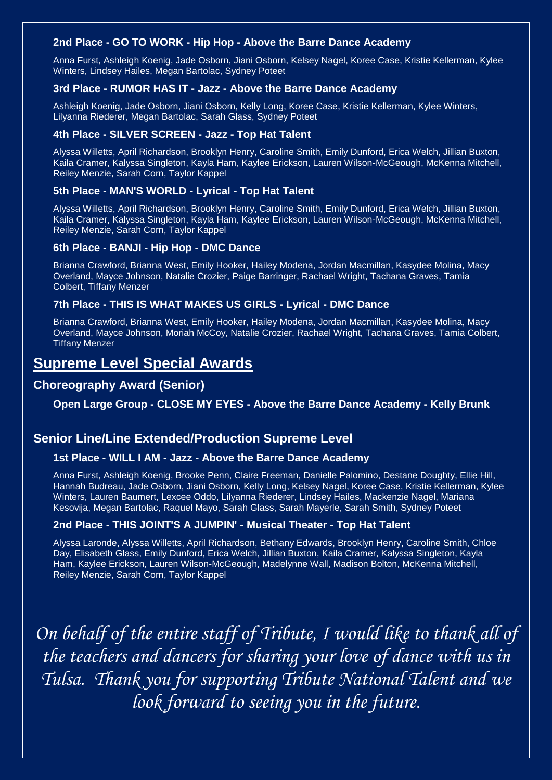#### **2nd Place - GO TO WORK - Hip Hop - Above the Barre Dance Academy**

Anna Furst, Ashleigh Koenig, Jade Osborn, Jiani Osborn, Kelsey Nagel, Koree Case, Kristie Kellerman, Kylee Winters, Lindsey Hailes, Megan Bartolac, Sydney Poteet

#### **3rd Place - RUMOR HAS IT - Jazz - Above the Barre Dance Academy**

Ashleigh Koenig, Jade Osborn, Jiani Osborn, Kelly Long, Koree Case, Kristie Kellerman, Kylee Winters, Lilyanna Riederer, Megan Bartolac, Sarah Glass, Sydney Poteet

#### **4th Place - SILVER SCREEN - Jazz - Top Hat Talent**

Alyssa Willetts, April Richardson, Brooklyn Henry, Caroline Smith, Emily Dunford, Erica Welch, Jillian Buxton, Kaila Cramer, Kalyssa Singleton, Kayla Ham, Kaylee Erickson, Lauren Wilson-McGeough, McKenna Mitchell, Reiley Menzie, Sarah Corn, Taylor Kappel

#### **5th Place - MAN'S WORLD - Lyrical - Top Hat Talent**

Alyssa Willetts, April Richardson, Brooklyn Henry, Caroline Smith, Emily Dunford, Erica Welch, Jillian Buxton, Kaila Cramer, Kalyssa Singleton, Kayla Ham, Kaylee Erickson, Lauren Wilson-McGeough, McKenna Mitchell, Reiley Menzie, Sarah Corn, Taylor Kappel

#### **6th Place - BANJI - Hip Hop - DMC Dance**

Brianna Crawford, Brianna West, Emily Hooker, Hailey Modena, Jordan Macmillan, Kasydee Molina, Macy Overland, Mayce Johnson, Natalie Crozier, Paige Barringer, Rachael Wright, Tachana Graves, Tamia Colbert, Tiffany Menzer

#### **7th Place - THIS IS WHAT MAKES US GIRLS - Lyrical - DMC Dance**

Brianna Crawford, Brianna West, Emily Hooker, Hailey Modena, Jordan Macmillan, Kasydee Molina, Macy Overland, Mayce Johnson, Moriah McCoy, Natalie Crozier, Rachael Wright, Tachana Graves, Tamia Colbert, Tiffany Menzer

# **Supreme Level Special Awards**

# **Choreography Award (Senior)**

**Open Large Group - CLOSE MY EYES - Above the Barre Dance Academy - Kelly Brunk**

# **Senior Line/Line Extended/Production Supreme Level**

#### **1st Place - WILL I AM - Jazz - Above the Barre Dance Academy**

Anna Furst, Ashleigh Koenig, Brooke Penn, Claire Freeman, Danielle Palomino, Destane Doughty, Ellie Hill, Hannah Budreau, Jade Osborn, Jiani Osborn, Kelly Long, Kelsey Nagel, Koree Case, Kristie Kellerman, Kylee Winters, Lauren Baumert, Lexcee Oddo, Lilyanna Riederer, Lindsey Hailes, Mackenzie Nagel, Mariana Kesovija, Megan Bartolac, Raquel Mayo, Sarah Glass, Sarah Mayerle, Sarah Smith, Sydney Poteet

#### **2nd Place - THIS JOINT'S A JUMPIN' - Musical Theater - Top Hat Talent**

Alyssa Laronde, Alyssa Willetts, April Richardson, Bethany Edwards, Brooklyn Henry, Caroline Smith, Chloe Day, Elisabeth Glass, Emily Dunford, Erica Welch, Jillian Buxton, Kaila Cramer, Kalyssa Singleton, Kayla Ham, Kaylee Erickson, Lauren Wilson-McGeough, Madelynne Wall, Madison Bolton, McKenna Mitchell, Reiley Menzie, Sarah Corn, Taylor Kappel

*On behalf of the entire staff of Tribute, I would like to thank all of the teachers and dancers for sharing your love of dance with us in Tulsa. Thank you for supporting Tribute National Talent and we look forward to seeing you in the future.*